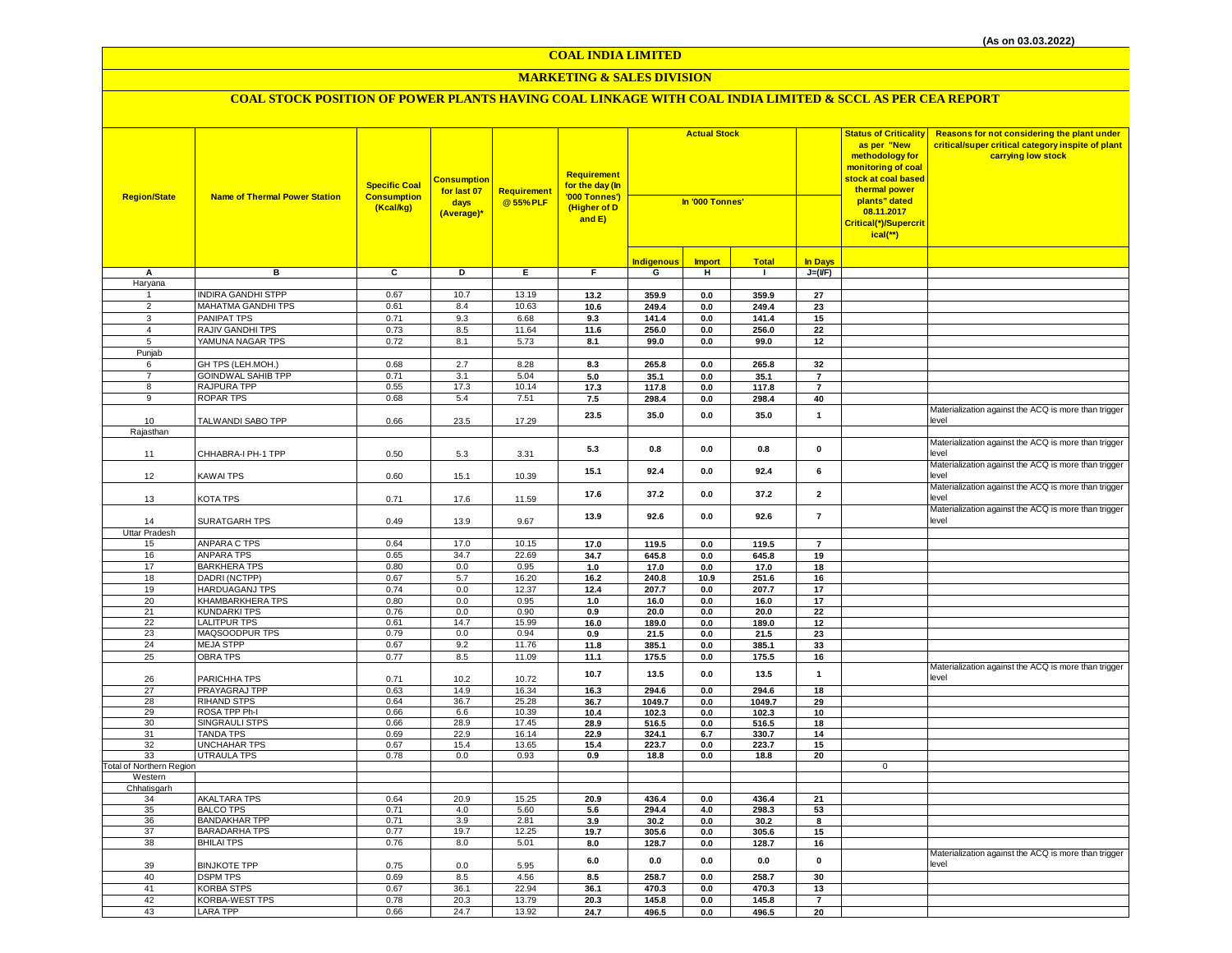### **MARKETING & SALES DIVISION**

| <b>Region/State</b>              | <b>Name of Thermal Power Station</b>    | <b>Specific Coal</b><br><b>Consumption</b><br>(Kcal/kg) | <mark>Consumption</mark><br>for last 07<br>days<br>(Average)* | <b>Requirement</b><br>@55%PLF | Requirement<br>for the day (In<br>'000 Tonnes')<br>(Higher of D<br>and E) | <b>Actual Stock</b><br>In '000 Tonnes' |                    |                |                       | <b>Status of Criticality</b><br>as per "New<br>methodology for<br>monitoring of coal<br>stock at coal based<br>thermal power<br>plants" dated<br>08.11.2017<br>Critical(*)/Supercrit<br>$ical(*)$ | Reasons for not considering the plant under<br>critical/super critical category inspite of plant<br>carrying low stock |
|----------------------------------|-----------------------------------------|---------------------------------------------------------|---------------------------------------------------------------|-------------------------------|---------------------------------------------------------------------------|----------------------------------------|--------------------|----------------|-----------------------|---------------------------------------------------------------------------------------------------------------------------------------------------------------------------------------------------|------------------------------------------------------------------------------------------------------------------------|
|                                  |                                         |                                                         |                                                               |                               |                                                                           | <b>Indigenous</b>                      | <b>Import</b>      | <b>Total</b>   | <b>In Days</b>        |                                                                                                                                                                                                   |                                                                                                                        |
| Α                                | в                                       | $\overline{c}$                                          | Þ                                                             | $\overline{E}$                | F.                                                                        | G                                      | н                  | $\mathbf{I}$   | $J=(VF)$              |                                                                                                                                                                                                   |                                                                                                                        |
| Haryana                          |                                         |                                                         |                                                               |                               |                                                                           |                                        |                    |                |                       |                                                                                                                                                                                                   |                                                                                                                        |
| -1                               | <b>NDIRA GANDHI STPP</b>                | 0.67                                                    | 10.7                                                          | 13.19                         | 13.2                                                                      | 359.9                                  | $0.0\,$            | 359.9          | 27                    |                                                                                                                                                                                                   |                                                                                                                        |
| $\overline{2}$                   | MAHATMA GANDHI TPS                      | 0.61                                                    | 8.4                                                           | 10.63                         | 10.6                                                                      | 249.4                                  | $0.0\,$            | 249.4          | 23                    |                                                                                                                                                                                                   |                                                                                                                        |
| 3                                | PANIPAT TPS                             | 0.71                                                    | 9.3                                                           | 6.68                          | 9.3                                                                       | 141.4                                  | 0.0                | 141.4          | 15                    |                                                                                                                                                                                                   |                                                                                                                        |
| $\overline{4}$<br>$\overline{5}$ | RAJIV GANDHI TPS<br>YAMUNA NAGAR TPS    | 0.73<br>0.72                                            | 8.5<br>8.1                                                    | 11.64<br>5.73                 | 11.6<br>8.1                                                               | 256.0<br>99.0                          | $0.0\,$<br>0.0     | 256.0<br>99.0  | $\overline{22}$<br>12 |                                                                                                                                                                                                   |                                                                                                                        |
| Punjab                           |                                         |                                                         |                                                               |                               |                                                                           |                                        |                    |                |                       |                                                                                                                                                                                                   |                                                                                                                        |
| 6                                | GH TPS (LEH.MOH.)                       | 0.68                                                    | $2.7\,$                                                       | 8.28                          | 8.3                                                                       | 265.8                                  | $0.0\,$            | 265.8          | 32                    |                                                                                                                                                                                                   |                                                                                                                        |
| $\overline{7}$                   | <b>GOINDWAL SAHIB TPP</b>               | 0.71                                                    | 3.1                                                           | 5.04                          | 5.0                                                                       | 35.1                                   | 0.0                | 35.1           | $\overline{7}$        |                                                                                                                                                                                                   |                                                                                                                        |
| 8                                | RAJPURA TPP                             | 0.55                                                    | 17.3                                                          | 10.14                         | 17.3                                                                      | 117.8                                  | 0.0                | 117.8          | $\overline{7}$        |                                                                                                                                                                                                   |                                                                                                                        |
| $\overline{9}$                   | <b>ROPAR TPS</b>                        | 0.68                                                    | 5.4                                                           | 7.51                          | $7.5$                                                                     | 298.4                                  | $0.0\,$            | 298.4          | 40                    |                                                                                                                                                                                                   |                                                                                                                        |
| 10                               | TALWANDI SABO TPP                       | 0.66                                                    | 23.5                                                          | 17.29                         | 23.5                                                                      | 35.0                                   | 0.0                | 35.0           | $\mathbf{1}$          |                                                                                                                                                                                                   | Materialization against the ACQ is more than trigger<br>level                                                          |
| Rajasthan                        |                                         |                                                         |                                                               |                               |                                                                           |                                        |                    |                |                       |                                                                                                                                                                                                   |                                                                                                                        |
| 11                               | CHHABRA-I PH-1 TPP                      | 0.50                                                    | 5.3                                                           | 3.31                          | 5.3                                                                       | 0.8                                    | 0.0                | 0.8            | 0                     |                                                                                                                                                                                                   | Materialization against the ACQ is more than trigger<br>level                                                          |
| 12                               | KAWAI TPS                               | 0.60                                                    | 15.1                                                          | 10.39                         | 15.1                                                                      | 92.4                                   | 0.0                | 92.4           | 6                     |                                                                                                                                                                                                   | Materialization against the ACQ is more than trigger<br>level<br>Materialization against the ACQ is more than trigger  |
| 13                               | KOTA TPS                                | 0.71                                                    | 17.6                                                          | 11.59                         | 17.6                                                                      | 37.2                                   | 0.0                | 37.2           | $\mathbf{2}$          |                                                                                                                                                                                                   | level<br>Materialization against the ACQ is more than trigger                                                          |
| 14<br><b>Uttar Pradesh</b>       | SURATGARH TPS                           | 0.49                                                    | 13.9                                                          | 9.67                          | 13.9                                                                      | 92.6                                   | 0.0                | 92.6           | $\overline{7}$        |                                                                                                                                                                                                   | level                                                                                                                  |
| 15                               | ANPARA C TPS                            | 0.64                                                    | 17.0                                                          | 10.15                         | 17.0                                                                      | 119.5                                  | 0.0                | 119.5          | $\overline{7}$        |                                                                                                                                                                                                   |                                                                                                                        |
| 16                               | <b>ANPARA TPS</b>                       | 0.65                                                    | 34.7                                                          | 22.69                         | 34.7                                                                      | 645.8                                  | $\mathbf{0.0}$     | 645.8          | 19                    |                                                                                                                                                                                                   |                                                                                                                        |
| 17                               | <b>BARKHERA TPS</b>                     | 0.80                                                    | 0.0                                                           | 0.95                          | 1.0                                                                       | 17.0                                   | 0.0                | 17.0           | 18                    |                                                                                                                                                                                                   |                                                                                                                        |
| 18                               | DADRI (NCTPP)                           | 0.67                                                    | 5.7                                                           | 16.20                         | 16.2                                                                      | 240.8                                  | 10.9               | 251.6          | 16                    |                                                                                                                                                                                                   |                                                                                                                        |
| 19                               | <b>HARDUAGANJ TPS</b>                   | 0.74                                                    | 0.0                                                           | 12.37                         | 12.4                                                                      | 207.7                                  | 0.0                | 207.7          | 17                    |                                                                                                                                                                                                   |                                                                                                                        |
| 20                               | KHAMBARKHERA TPS                        | 0.80                                                    | 0.0                                                           | 0.95                          | $1.0$                                                                     | 16.0                                   | $0.0\,$            | 16.0           | 17                    |                                                                                                                                                                                                   |                                                                                                                        |
| 21<br>22                         | <b>KUNDARKI TPS</b>                     | 0.76                                                    | $0.0\,$                                                       | 0.90                          | 0.9                                                                       | 20.0                                   | 0.0                | 20.0           | 22                    |                                                                                                                                                                                                   |                                                                                                                        |
| 23                               | <b>LALITPUR TPS</b><br>MAQSOODPUR TPS   | 0.61<br>0.79                                            | 14.7<br>0.0                                                   | 15.99<br>0.94                 | 16.0                                                                      | 189.0                                  | 0.0                | 189.0          | 12                    |                                                                                                                                                                                                   |                                                                                                                        |
| 24                               | <b>MEJA STPP</b>                        | 0.67                                                    | 9.2                                                           | 11.76                         | 0.9<br>11.8                                                               | 21.5<br>385.1                          | 0.0<br>0.0         | 21.5<br>385.1  | 23<br>33              |                                                                                                                                                                                                   |                                                                                                                        |
| 25                               | <b>OBRA TPS</b>                         | 0.77                                                    | 8.5                                                           | 11.09                         | 11.1                                                                      | 175.5                                  | $0.0\,$            | 175.5          | 16                    |                                                                                                                                                                                                   |                                                                                                                        |
|                                  |                                         |                                                         |                                                               |                               |                                                                           |                                        |                    |                |                       |                                                                                                                                                                                                   | Materialization against the ACQ is more than trigger                                                                   |
| 26                               | PARICHHA TPS                            | 0.71                                                    | 10.2                                                          | 10.72                         | 10.7                                                                      | 13.5                                   | 0.0                | 13.5           | $\mathbf{1}$          |                                                                                                                                                                                                   | level                                                                                                                  |
| 27                               | PRAYAGRAJ TPP                           | 0.63                                                    | 14.9                                                          | 16.34                         | 16.3                                                                      | 294.6                                  | $\mathbf{0.0}$     | 294.6          | 18                    |                                                                                                                                                                                                   |                                                                                                                        |
| 28                               | <b>RIHAND STPS</b>                      | 0.64                                                    | 36.7                                                          | 25.28                         | 36.7                                                                      | 1049.7                                 | 0.0                | 1049.7         | 29                    |                                                                                                                                                                                                   |                                                                                                                        |
| 29                               | ROSA TPP Ph-I                           | 0.66                                                    | $6.6\,$                                                       | 10.39                         | 10.4                                                                      | 102.3                                  | $\mathbf{0.0}$     | 102.3          | 10                    |                                                                                                                                                                                                   |                                                                                                                        |
| 30<br>31                         | SINGRAULI STPS<br><b>TANDA TPS</b>      | 0.66<br>0.69                                            | 28.9<br>22.9                                                  | 17.45<br>16.14                | 28.9<br>22.9                                                              | 516.5<br>324.1                         | $0.0\,$<br>$6.7\,$ | 516.5<br>330.7 | 18<br>14              |                                                                                                                                                                                                   |                                                                                                                        |
| 32                               | <b>UNCHAHAR TPS</b>                     | 0.67                                                    | 15.4                                                          | 13.65                         | 15.4                                                                      | 223.7                                  | 0.0                | 223.7          | 15                    |                                                                                                                                                                                                   |                                                                                                                        |
| 33                               | <b>UTRAULA TPS</b>                      | 0.78                                                    | 0.0                                                           | 0.93                          | 0.9                                                                       | 18.8                                   | 0.0                | 18.8           | 20                    |                                                                                                                                                                                                   |                                                                                                                        |
| Total of Northern Region         |                                         |                                                         |                                                               |                               |                                                                           |                                        |                    |                |                       | $\mathsf 0$                                                                                                                                                                                       |                                                                                                                        |
| Western                          |                                         |                                                         |                                                               |                               |                                                                           |                                        |                    |                |                       |                                                                                                                                                                                                   |                                                                                                                        |
| Chhatisgarh                      |                                         |                                                         |                                                               |                               |                                                                           |                                        |                    |                |                       |                                                                                                                                                                                                   |                                                                                                                        |
| 34<br>35                         | <b>AKALTARA TPS</b><br><b>BALCO TPS</b> | 0.64<br>0.71                                            | 20.9<br>4.0                                                   | 15.25<br>5.60                 | 20.9                                                                      | 436.4                                  | 0.0                | 436.4          | 21                    |                                                                                                                                                                                                   |                                                                                                                        |
| 36                               | <b>BANDAKHAR TPP</b>                    | 0.71                                                    | 3.9                                                           | 2.81                          | 5.6<br>3.9                                                                | 294.4<br>30.2                          | 4.0<br>$0.0\,$     | 298.3<br>30.2  | 53<br>8               |                                                                                                                                                                                                   |                                                                                                                        |
| 37                               | <b>BARADARHA TPS</b>                    | 0.77                                                    | 19.7                                                          | 12.25                         | 19.7                                                                      | 305.6                                  | 0.0                | 305.6          | 15                    |                                                                                                                                                                                                   |                                                                                                                        |
| 38                               | <b>BHILAI TPS</b>                       | 0.76                                                    | 8.0                                                           | 5.01                          | 8.0                                                                       | 128.7                                  | 0.0                | 128.7          | 16                    |                                                                                                                                                                                                   |                                                                                                                        |
| 39                               | <b>BINJKOTE TPP</b>                     | 0.75                                                    | 0.0                                                           | 5.95                          | $\bf 6.0$                                                                 | 0.0                                    | $0.0\,$            | 0.0            | $\pmb{\mathsf{o}}$    |                                                                                                                                                                                                   | Materialization against the ACQ is more than trigger<br>level                                                          |
| 40                               | <b>DSPM TPS</b>                         | 0.69                                                    | 8.5                                                           | 4.56                          | 8.5                                                                       | 258.7                                  | 0.0                | 258.7          | 30                    |                                                                                                                                                                                                   |                                                                                                                        |
| 41                               | <b>KORBA STPS</b>                       | 0.67                                                    | 36.1                                                          | 22.94                         | 36.1                                                                      | 470.3                                  | 0.0                | 470.3          | 13                    |                                                                                                                                                                                                   |                                                                                                                        |
| 42                               | KORBA-WEST TPS                          | 0.78                                                    | 20.3                                                          | 13.79                         | 20.3                                                                      | 145.8                                  | 0.0                | 145.8          | $\overline{7}$        |                                                                                                                                                                                                   |                                                                                                                        |
| 43                               | <b>LARA TPP</b>                         | 0.66                                                    | 24.7                                                          | 13.92                         | 24.7                                                                      | 496.5                                  | $0.0\,$            | 496.5          | 20                    |                                                                                                                                                                                                   |                                                                                                                        |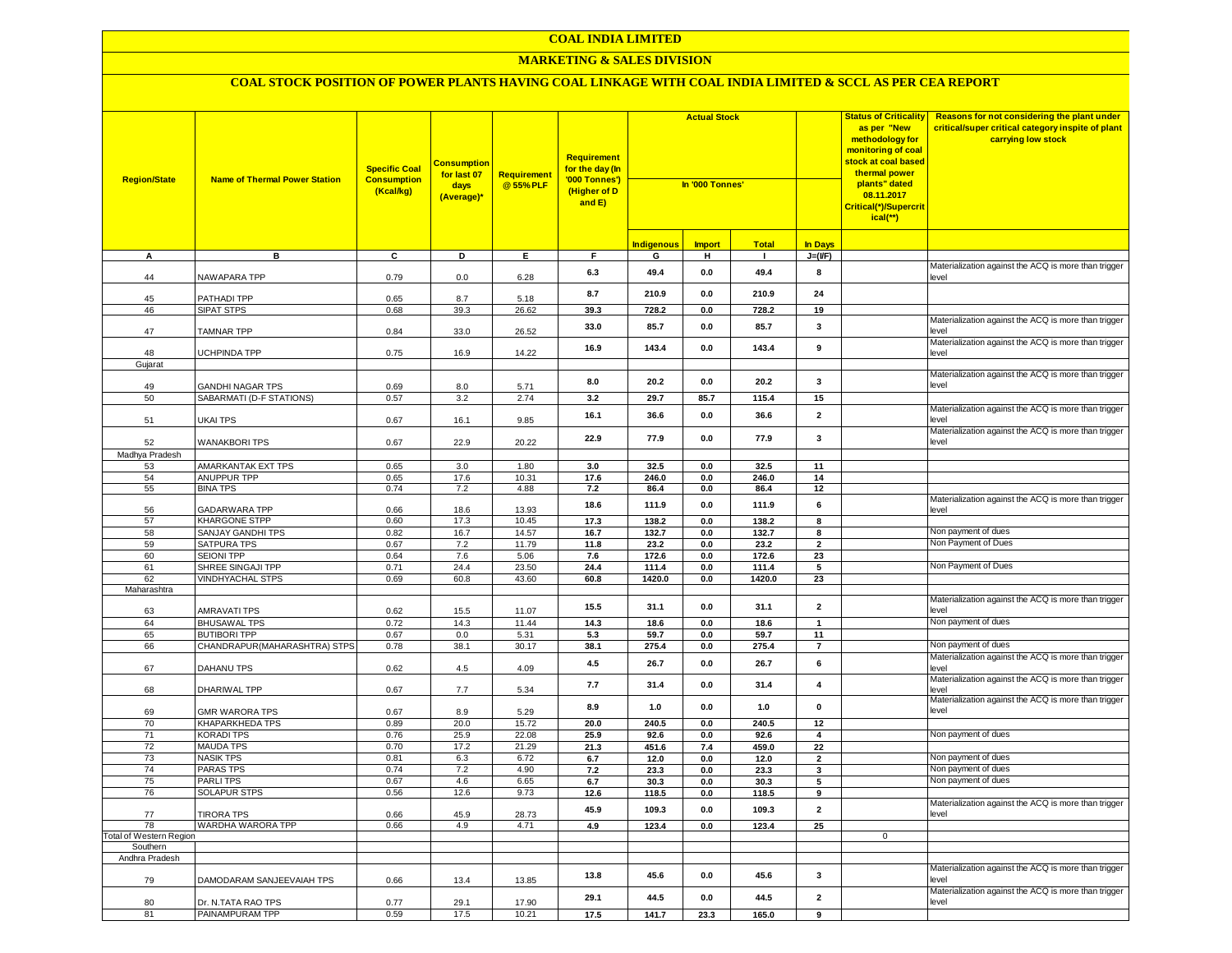## **MARKETING & SALES DIVISION**

| <b>Region/State</b>            | <b>Name of Thermal Power Station</b>         | <b>Specific Coal</b><br><b>Consumption</b><br>(Kcal/kg) | <b>Consumption</b><br>for last 07<br>days<br>(Average)* | <b>Requirement</b><br>@55%PLF | <b>Requirement</b><br>for the day (In<br>'000 Tonnes')<br>(Higher of D<br>and E) |                   | <b>Actual Stock</b><br>In '000 Tonnes' |              |                         | <b>Status of Criticality</b><br>as per "New<br>methodology for<br>monitoring of coal<br>stock at coal based<br>thermal power<br>plants" dated<br>08.11.2017<br>Critical(*)/Supercrit<br>$ical(*)$ | Reasons for not considering the plant under<br>critical/super critical category inspite of plant<br>carrying low stock |
|--------------------------------|----------------------------------------------|---------------------------------------------------------|---------------------------------------------------------|-------------------------------|----------------------------------------------------------------------------------|-------------------|----------------------------------------|--------------|-------------------------|---------------------------------------------------------------------------------------------------------------------------------------------------------------------------------------------------|------------------------------------------------------------------------------------------------------------------------|
|                                |                                              |                                                         |                                                         |                               |                                                                                  | <b>Indigenous</b> | <b>Import</b>                          | <b>Total</b> | <b>In Days</b>          |                                                                                                                                                                                                   |                                                                                                                        |
| A                              | в                                            | C                                                       | D                                                       | Е.                            | F.                                                                               | G                 | н.                                     | п.           | $J=(VF)$                |                                                                                                                                                                                                   |                                                                                                                        |
| 44                             | NAWAPARA TPP                                 | 0.79                                                    | 0.0                                                     | 6.28                          | 6.3                                                                              | 49.4              | 0.0                                    | 49.4         | 8                       |                                                                                                                                                                                                   | Materialization against the ACQ is more than trigger<br>level                                                          |
|                                |                                              |                                                         |                                                         |                               | 8.7                                                                              | 210.9             | 0.0                                    | 210.9        | 24                      |                                                                                                                                                                                                   |                                                                                                                        |
| 45<br>46                       | PATHADI TPP<br><b>SIPAT STPS</b>             | 0.65<br>0.68                                            | 8.7<br>39.3                                             | 5.18<br>26.62                 | 39.3                                                                             | 728.2             | 0.0                                    | 728.2        | 19                      |                                                                                                                                                                                                   |                                                                                                                        |
| 47                             | <b>TAMNAR TPP</b>                            | 0.84                                                    | 33.0                                                    | 26.52                         | 33.0                                                                             | 85.7              | 0.0                                    | 85.7         | 3                       |                                                                                                                                                                                                   | Materialization against the ACQ is more than trigger<br>level                                                          |
|                                |                                              |                                                         |                                                         |                               | 16.9                                                                             | 143.4             | 0.0                                    | 143.4        | 9                       |                                                                                                                                                                                                   | Materialization against the ACQ is more than trigger                                                                   |
| 48                             | UCHPINDA TPP                                 | 0.75                                                    | 16.9                                                    | 14.22                         |                                                                                  |                   |                                        |              |                         |                                                                                                                                                                                                   | level                                                                                                                  |
| Gujarat                        |                                              |                                                         |                                                         |                               |                                                                                  |                   |                                        |              |                         |                                                                                                                                                                                                   | Materialization against the ACQ is more than trigger                                                                   |
| 49                             | <b>GANDHI NAGAR TPS</b>                      | 0.69                                                    | 8.0                                                     | 5.71                          | 8.0                                                                              | 20.2              | 0.0                                    | 20.2         | $\mathbf{3}$            |                                                                                                                                                                                                   | level                                                                                                                  |
| 50                             | SABARMATI (D-F STATIONS)                     | 0.57                                                    | 3.2                                                     | 2.74                          | 3.2                                                                              | 29.7              | 85.7                                   | 115.4        | 15                      |                                                                                                                                                                                                   |                                                                                                                        |
| 51                             | UKAI TPS                                     | 0.67                                                    | 16.1                                                    | 9.85                          | 16.1                                                                             | 36.6              | 0.0                                    | 36.6         | $\overline{2}$          |                                                                                                                                                                                                   | Materialization against the ACQ is more than trigger<br>level                                                          |
| 52                             | <b>WANAKBORITPS</b>                          | 0.67                                                    | 22.9                                                    | 20.22                         | 22.9                                                                             | 77.9              | 0.0                                    | 77.9         | 3                       |                                                                                                                                                                                                   | Materialization against the ACQ is more than trigger<br>level                                                          |
| Madhya Pradesh                 |                                              |                                                         |                                                         |                               |                                                                                  |                   |                                        |              |                         |                                                                                                                                                                                                   |                                                                                                                        |
| 53                             | AMARKANTAK EXT TPS                           | 0.65                                                    | 3.0                                                     | 1.80                          | 3.0                                                                              | 32.5              | 0.0                                    | 32.5         | 11                      |                                                                                                                                                                                                   |                                                                                                                        |
| 54<br>55                       | <b>ANUPPUR TPP</b><br><b>BINA TPS</b>        | 0.65<br>0.74                                            | 17.6<br>7.2                                             | 10.31                         | 17.6<br>7.2                                                                      | 246.0             | 0.0                                    | 246.0        | 14                      |                                                                                                                                                                                                   |                                                                                                                        |
|                                |                                              |                                                         |                                                         | 4.88                          |                                                                                  | 86.4              | 0.0                                    | 86.4         | 12                      |                                                                                                                                                                                                   | Materialization against the ACQ is more than trigger                                                                   |
| 56                             | GADARWARA TPP                                | 0.66                                                    | 18.6                                                    | 13.93                         | 18.6                                                                             | 111.9             | 0.0                                    | 111.9        | 6                       |                                                                                                                                                                                                   | level                                                                                                                  |
| 57                             | <b>KHARGONE STPP</b>                         | 0.60                                                    | 17.3                                                    | 10.45                         | 17.3                                                                             | 138.2             | 0.0                                    | 138.2        | 8                       |                                                                                                                                                                                                   |                                                                                                                        |
| 58                             | SANJAY GANDHI TPS                            | 0.82                                                    | 16.7                                                    | 14.57                         | 16.7                                                                             | 132.7             | 0.0                                    | 132.7        | 8                       |                                                                                                                                                                                                   | Non payment of dues                                                                                                    |
| 59                             | <b>SATPURA TPS</b>                           | 0.67                                                    | 7.2                                                     | 11.79                         | 11.8                                                                             | 23.2              | 0.0                                    | 23.2         | $\overline{2}$          |                                                                                                                                                                                                   | Non Payment of Dues                                                                                                    |
| 60                             | <b>SEIONI TPP</b>                            | 0.64                                                    | 7.6                                                     | 5.06                          | 7.6                                                                              | 172.6             | $\mathbf{0.0}$                         | 172.6        | 23                      |                                                                                                                                                                                                   |                                                                                                                        |
| 61                             | SHREE SINGAJI TPP<br><b>VINDHYACHAL STPS</b> | 0.71                                                    | 24.4<br>60.8                                            | 23.50<br>43.60                | 24.4                                                                             | 111.4             | $\mathbf{0.0}$                         | 111.4        | $\overline{\mathbf{5}}$ |                                                                                                                                                                                                   | Non Payment of Dues                                                                                                    |
| 62<br>Maharashtra              |                                              | 0.69                                                    |                                                         |                               | 60.8                                                                             | 1420.0            | 0.0                                    | 1420.0       | 23                      |                                                                                                                                                                                                   |                                                                                                                        |
| 63                             | AMRAVATI TPS                                 | 0.62                                                    | 15.5                                                    | 11.07                         | 15.5                                                                             | 31.1              | 0.0                                    | 31.1         | $\mathbf 2$             |                                                                                                                                                                                                   | Materialization against the ACQ is more than trigger<br>level                                                          |
| 64                             | <b>BHUSAWAL TPS</b>                          | 0.72                                                    | 14.3                                                    | 11.44                         | 14.3                                                                             | 18.6              | 0.0                                    | 18.6         | $\mathbf{1}$            |                                                                                                                                                                                                   | Non payment of dues                                                                                                    |
| 65                             | <b>BUTIBORI TPP</b>                          | 0.67                                                    | 0.0                                                     | 5.31                          | 5.3                                                                              | 59.7              | 0.0                                    | 59.7         | 11                      |                                                                                                                                                                                                   |                                                                                                                        |
| 66                             | CHANDRAPUR (MAHARASHTRA) STPS                | 0.78                                                    | 38.1                                                    | 30.17                         | 38.1                                                                             | 275.4             | 0.0                                    | 275.4        | $\overline{7}$          |                                                                                                                                                                                                   | Non payment of dues                                                                                                    |
| 67                             | DAHANU TPS                                   | 0.62                                                    | $4.5\,$                                                 | 4.09                          | 4.5                                                                              | 26.7              | 0.0                                    | 26.7         | 6                       |                                                                                                                                                                                                   | Materialization against the ACQ is more than trigger<br>level                                                          |
| 68                             | DHARIWAL TPP                                 | 0.67                                                    | 7.7                                                     | 5.34                          | 7.7                                                                              | 31.4              | 0.0                                    | 31.4         | $\overline{4}$          |                                                                                                                                                                                                   | Materialization against the ACQ is more than trigger<br>level                                                          |
| 69                             | <b>GMR WARORA TPS</b>                        | 0.67                                                    | 8.9                                                     | 5.29                          | 8.9                                                                              | 1.0               | 0.0                                    | 1.0          | $\pmb{0}$               |                                                                                                                                                                                                   | Materialization against the ACQ is more than trigger<br>level                                                          |
| 70                             | <b>KHAPARKHEDA TPS</b>                       | 0.89                                                    | 20.0                                                    | 15.72                         | 20.0                                                                             | 240.5             | 0.0                                    | 240.5        | 12                      |                                                                                                                                                                                                   |                                                                                                                        |
| 71                             | <b>KORADI TPS</b>                            | 0.76                                                    | 25.9                                                    | 22.08                         | 25.9                                                                             | 92.6              | 0.0                                    | 92.6         | $\overline{4}$          |                                                                                                                                                                                                   | Non payment of dues                                                                                                    |
| 72                             | <b>MAUDA TPS</b>                             | 0.70                                                    | 17.2                                                    | 21.29                         | 21.3                                                                             | 451.6             | 7.4                                    | 459.0        | 22                      |                                                                                                                                                                                                   |                                                                                                                        |
| 73                             | <b>NASIK TPS</b>                             | 0.81                                                    | 6.3                                                     | 6.72                          | 6.7                                                                              | 12.0              | 0.0                                    | 12.0         | $\mathbf{2}$            |                                                                                                                                                                                                   | Non payment of dues                                                                                                    |
| 74                             | PARAS TPS                                    | 0.74                                                    | 7.2                                                     | 4.90                          | $7.2$                                                                            | 23.3              | 0.0                                    | 23.3         | 3                       |                                                                                                                                                                                                   | Non payment of dues                                                                                                    |
| 75                             | PARLITPS                                     | 0.67                                                    | 4.6                                                     | 6.65                          | 6.7                                                                              | 30.3              | 0.0                                    | 30.3         | 5                       |                                                                                                                                                                                                   | Non payment of dues                                                                                                    |
| 76                             | <b>SOLAPUR STPS</b>                          | 0.56                                                    | 12.6                                                    | 9.73                          | 12.6                                                                             | 118.5             | 0.0                                    | 118.5        | 9                       |                                                                                                                                                                                                   |                                                                                                                        |
| 77                             | <b>TIRORA TPS</b>                            | 0.66                                                    | 45.9                                                    | 28.73                         | 45.9                                                                             | 109.3             | 0.0                                    | 109.3        | $\overline{2}$          |                                                                                                                                                                                                   | Materialization against the ACQ is more than trigger<br>level                                                          |
| 78                             | WARDHA WARORA TPP                            | 0.66                                                    | 4.9                                                     | 4.71                          | 4.9                                                                              | 123.4             | 0.0                                    | 123.4        | 25                      |                                                                                                                                                                                                   |                                                                                                                        |
| <b>Total of Western Region</b> |                                              |                                                         |                                                         |                               |                                                                                  |                   |                                        |              |                         | $\overline{0}$                                                                                                                                                                                    |                                                                                                                        |
| Southern<br>Andhra Pradesh     |                                              |                                                         |                                                         |                               |                                                                                  |                   |                                        |              |                         |                                                                                                                                                                                                   |                                                                                                                        |
|                                |                                              |                                                         |                                                         |                               |                                                                                  |                   |                                        |              |                         |                                                                                                                                                                                                   | Materialization against the ACQ is more than trigger                                                                   |
| 79                             | DAMODARAM SANJEEVAIAH TPS                    | 0.66                                                    | 13.4                                                    | 13.85                         | 13.8                                                                             | 45.6              | 0.0                                    | 45.6         | 3                       |                                                                                                                                                                                                   | level<br>Materialization against the ACQ is more than trigger                                                          |
| 80                             | Dr. N.TATA RAO TPS                           | 0.77                                                    | 29.1                                                    | 17.90                         | 29.1                                                                             | 44.5              | 0.0                                    | 44.5         | $\overline{2}$          |                                                                                                                                                                                                   | level                                                                                                                  |
| 81                             | PAINAMPURAM TPP                              | 0.59                                                    | 17.5                                                    | 10.21                         | 17.5                                                                             | 141.7             | 23.3                                   | 165.0        | 9                       |                                                                                                                                                                                                   |                                                                                                                        |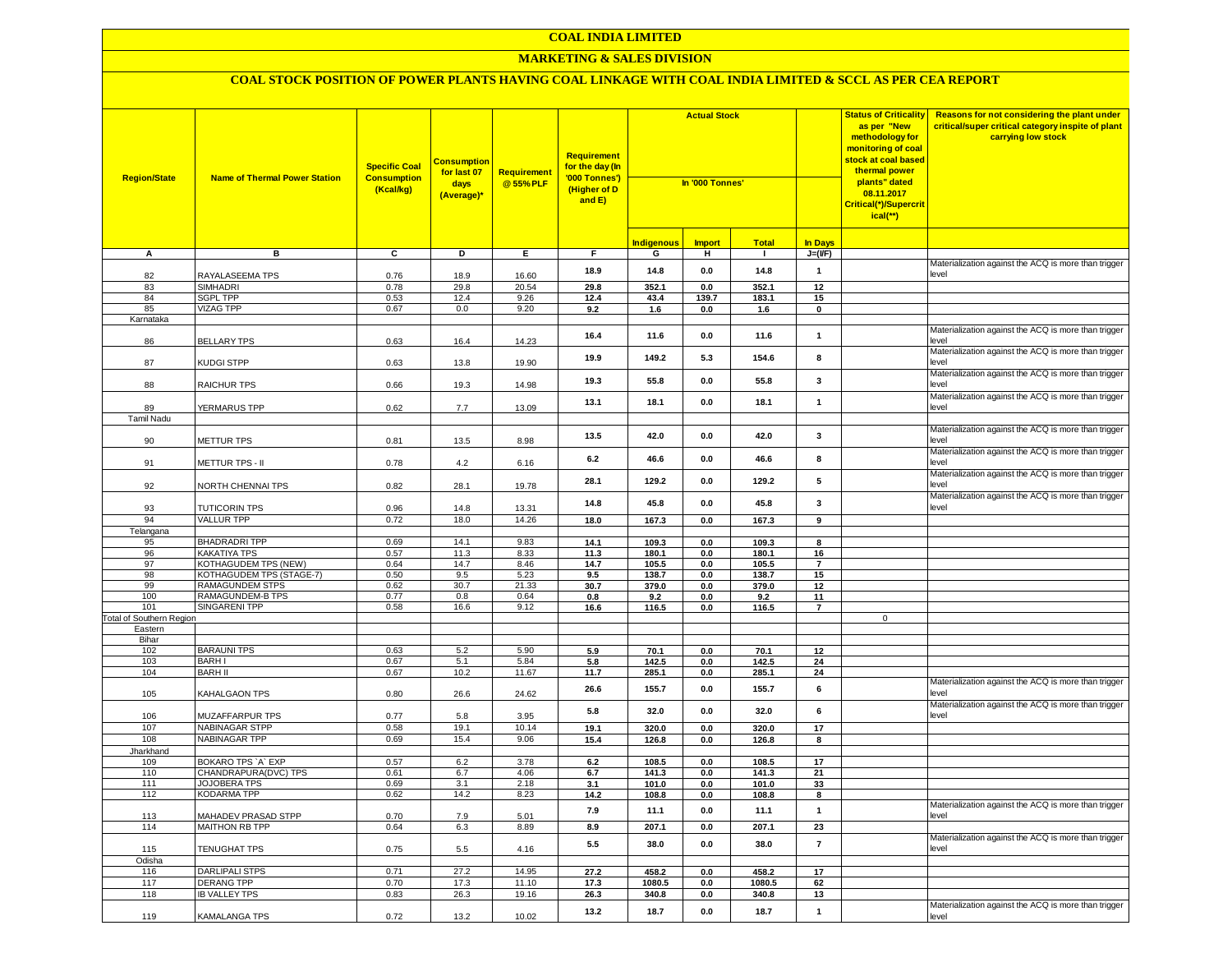### **MARKETING & SALES DIVISION**

| <b>Region/State</b>             | <b>Name of Thermal Power Station</b>                    | <b>Specific Coal</b><br><b>Consumption</b><br>(Kcal/kg) | Consumption<br>for last 07<br>days<br>(Average)* | <b>Requirement</b><br>@55%PLF | Requirement<br>for the day (In<br>'000 Tonnes')<br>(Higher of D<br>and E) | <b>Actual Stock</b><br>In '000 Tonnes' |               |                |                      | <b>Status of Criticality</b><br>as per "New<br>methodology for<br>monitoring of coal<br><mark>stock at coal based</mark><br>thermal power<br>plants" dated<br>08.11.2017<br>Critical(*)/Supercrit<br>ical(**) | Reasons for not considering the plant under<br>critical/super critical category inspite of plant<br>carrying low stock |
|---------------------------------|---------------------------------------------------------|---------------------------------------------------------|--------------------------------------------------|-------------------------------|---------------------------------------------------------------------------|----------------------------------------|---------------|----------------|----------------------|---------------------------------------------------------------------------------------------------------------------------------------------------------------------------------------------------------------|------------------------------------------------------------------------------------------------------------------------|
|                                 |                                                         |                                                         |                                                  |                               |                                                                           | <b>Indigenous</b>                      | <b>Import</b> | <b>Total</b>   | In Days              |                                                                                                                                                                                                               |                                                                                                                        |
| Α                               | в                                                       | С                                                       | D                                                | Е.                            | F.                                                                        | G                                      | н             | $\mathbf{I}$   | $J=(VF)$             |                                                                                                                                                                                                               |                                                                                                                        |
| 82                              | RAYALASEEMA TPS                                         | 0.76                                                    | 18.9                                             | 16.60                         | 18.9                                                                      | 14.8                                   | 0.0           | 14.8           | $\mathbf{1}$         |                                                                                                                                                                                                               | Materialization against the ACQ is more than trigger<br>level                                                          |
| 83                              | <b>SIMHADRI</b>                                         | 0.78                                                    | 29.8                                             | 20.54                         | 29.8                                                                      | 352.1                                  | 0.0           | 352.1          | 12                   |                                                                                                                                                                                                               |                                                                                                                        |
| 84                              | <b>SGPL TPP</b>                                         | 0.53                                                    | 12.4                                             | 9.26                          | 12.4                                                                      | 43.4                                   | 139.7         | 183.1          | 15                   |                                                                                                                                                                                                               |                                                                                                                        |
| 85                              | <b>VIZAG TPP</b>                                        | 0.67                                                    | 0.0                                              | 9.20                          | 9.2                                                                       | 1.6                                    | 0.0           | 1.6            | 0                    |                                                                                                                                                                                                               |                                                                                                                        |
| Karnataka                       |                                                         |                                                         |                                                  |                               |                                                                           |                                        |               |                |                      |                                                                                                                                                                                                               |                                                                                                                        |
| 86                              | <b>BELLARY TPS</b>                                      | 0.63                                                    | 16.4                                             | 14.23                         | 16.4                                                                      | 11.6                                   | 0.0           | 11.6           | $\mathbf{1}$         |                                                                                                                                                                                                               | Materialization against the ACQ is more than trigger<br>level                                                          |
| 87                              | <b>KUDGI STPP</b>                                       | 0.63                                                    | 13.8                                             | 19.90                         | 19.9                                                                      | 149.2                                  | 5.3           | 154.6          | 8                    |                                                                                                                                                                                                               | Materialization against the ACQ is more than trigger<br>level                                                          |
| 88                              | RAICHUR TPS                                             | 0.66                                                    | 19.3                                             | 14.98                         | 19.3                                                                      | 55.8                                   | 0.0           | 55.8           | 3                    |                                                                                                                                                                                                               | Materialization against the ACQ is more than trigger<br>level                                                          |
| 89                              | YERMARUS TPP                                            | 0.62                                                    | 7.7                                              | 13.09                         | 13.1                                                                      | 18.1                                   | 0.0           | 18.1           | $\mathbf{1}$         |                                                                                                                                                                                                               | Materialization against the ACQ is more than trigger<br>level                                                          |
| <b>Tamil Nadu</b>               |                                                         |                                                         |                                                  |                               |                                                                           |                                        |               |                |                      |                                                                                                                                                                                                               |                                                                                                                        |
| 90                              | <b>METTUR TPS</b>                                       | 0.81                                                    | 13.5                                             | 8.98                          | 13.5                                                                      | 42.0                                   | 0.0           | 42.0           | 3                    |                                                                                                                                                                                                               | Materialization against the ACQ is more than trigger<br>level                                                          |
| 91                              | METTUR TPS - II                                         | 0.78                                                    | 4.2                                              | 6.16                          | 6.2                                                                       | 46.6                                   | 0.0           | 46.6           | 8                    |                                                                                                                                                                                                               | Materialization against the ACQ is more than trigger<br>level                                                          |
| 92                              | NORTH CHENNAI TPS                                       | 0.82                                                    | 28.1                                             | 19.78                         | 28.1                                                                      | 129.2                                  | 0.0           | 129.2          | 5                    |                                                                                                                                                                                                               | Materialization against the ACQ is more than trigger<br>level                                                          |
| 93                              | <b>TUTICORIN TPS</b>                                    | 0.96                                                    | 14.8                                             | 13.31                         | 14.8                                                                      | 45.8                                   | 0.0           | 45.8           | 3                    |                                                                                                                                                                                                               | Materialization against the ACQ is more than trigger<br>level                                                          |
| 94                              | <b>VALLUR TPP</b>                                       | 0.72                                                    | 18.0                                             | 14.26                         | 18.0                                                                      | 167.3                                  | 0.0           | 167.3          | 9                    |                                                                                                                                                                                                               |                                                                                                                        |
| Telangana                       |                                                         |                                                         |                                                  |                               |                                                                           |                                        |               |                |                      |                                                                                                                                                                                                               |                                                                                                                        |
| 95                              | <b>BHADRADRITPP</b>                                     | 0.69                                                    | 14.1                                             | 9.83                          | 14.1                                                                      | 109.3                                  | 0.0           | 109.3          | 8                    |                                                                                                                                                                                                               |                                                                                                                        |
| 96                              | <b>KAKATIYA TPS</b>                                     | 0.57                                                    | 11.3                                             | 8.33                          | 11.3                                                                      | 180.1                                  | 0.0           | 180.1          | 16                   |                                                                                                                                                                                                               |                                                                                                                        |
| 97<br>98                        | <b>KOTHAGUDEM TPS (NEW)</b><br>KOTHAGUDEM TPS (STAGE-7) | 0.64<br>0.50                                            | 14.7<br>9.5                                      | 8.46<br>5.23                  | 14.7<br>9.5                                                               | 105.5<br>138.7                         | 0.0<br>0.0    | 105.5<br>138.7 | $\overline{7}$<br>15 |                                                                                                                                                                                                               |                                                                                                                        |
| 99                              | RAMAGUNDEM STPS                                         | 0.62                                                    | 30.7                                             | 21.33                         | 30.7                                                                      | 379.0                                  | 0.0           | 379.0          | 12                   |                                                                                                                                                                                                               |                                                                                                                        |
| 100                             | RAMAGUNDEM-B TPS                                        | 0.77                                                    | 0.8                                              | 0.64                          | 0.8                                                                       | 9.2                                    | 0.0           | 9.2            | 11                   |                                                                                                                                                                                                               |                                                                                                                        |
| 101                             | SINGARENI TPP                                           | 0.58                                                    | 16.6                                             | 9.12                          | 16.6                                                                      | 116.5                                  | 0.0           | 116.5          | $\overline{7}$       |                                                                                                                                                                                                               |                                                                                                                        |
| <b>Total of Southern Region</b> |                                                         |                                                         |                                                  |                               |                                                                           |                                        |               |                |                      | $\mathbf 0$                                                                                                                                                                                                   |                                                                                                                        |
| Eastern                         |                                                         |                                                         |                                                  |                               |                                                                           |                                        |               |                |                      |                                                                                                                                                                                                               |                                                                                                                        |
| Bihar                           |                                                         |                                                         |                                                  |                               |                                                                           |                                        |               |                |                      |                                                                                                                                                                                                               |                                                                                                                        |
| 102<br>103                      | <b>BARAUNITPS</b><br><b>BARHI</b>                       | 0.63                                                    | 5.2                                              | 5.90                          | 5.9                                                                       | 70.1                                   | 0.0           | 70.1           | 12                   |                                                                                                                                                                                                               |                                                                                                                        |
| 104                             | <b>BARH II</b>                                          | 0.67<br>0.67                                            | 5.1<br>10.2                                      | 5.84<br>11.67                 | 5.8<br>11.7                                                               | 142.5<br>285.1                         | 0.0<br>0.0    | 142.5<br>285.1 | 24<br>24             |                                                                                                                                                                                                               |                                                                                                                        |
| 105                             | KAHALGAON TPS                                           | 0.80                                                    | 26.6                                             | 24.62                         | 26.6                                                                      | 155.7                                  | 0.0           | 155.7          | 6                    |                                                                                                                                                                                                               | Materialization against the ACQ is more than trigger<br>level                                                          |
| 106                             | MUZAFFARPUR TPS                                         | 0.77                                                    | 5.8                                              | 3.95                          | 5.8                                                                       | 32.0                                   | 0.0           | 32.0           | 6                    |                                                                                                                                                                                                               | Materialization against the ACQ is more than trigger<br>level                                                          |
| 107                             | NABINAGAR STPP                                          | 0.58                                                    | 19.1                                             | 10.14                         | 19.1                                                                      | 320.0                                  | 0.0           | 320.0          | 17                   |                                                                                                                                                                                                               |                                                                                                                        |
| 108                             | NABINAGAR TPP                                           | 0.69                                                    | 15.4                                             | 9.06                          | 15.4                                                                      | 126.8                                  | 0.0           | 126.8          | 8                    |                                                                                                                                                                                                               |                                                                                                                        |
| Jharkhand                       |                                                         |                                                         |                                                  |                               |                                                                           |                                        |               |                |                      |                                                                                                                                                                                                               |                                                                                                                        |
| 109                             | BOKARO TPS `A` EXP                                      | 0.57                                                    | 6.2                                              | 3.78                          | 6.2                                                                       | 108.5                                  | 0.0           | 108.5          | 17                   |                                                                                                                                                                                                               |                                                                                                                        |
| 110                             | CHANDRAPURA(DVC) TPS<br><b>JOJOBERA TPS</b>             | 0.61                                                    | 6.7                                              | 4.06                          | 6.7                                                                       | 141.3                                  | 0.0           | 141.3          | 21                   |                                                                                                                                                                                                               |                                                                                                                        |
| 111<br>112                      | KODARMA TPP                                             | 0.69<br>0.62                                            | 3.1<br>14.2                                      | 2.18<br>8.23                  | 3.1<br>14.2                                                               | 101.0<br>108.8                         | 0.0<br>0.0    | 101.0<br>108.8 | 33<br>8              |                                                                                                                                                                                                               |                                                                                                                        |
|                                 |                                                         |                                                         |                                                  |                               |                                                                           |                                        |               |                |                      |                                                                                                                                                                                                               | Materialization against the ACQ is more than trigger                                                                   |
| 113<br>114                      | MAHADEV PRASAD STPP<br>MAITHON RB TPP                   | 0.70<br>0.64                                            | 7.9<br>6.3                                       | 5.01<br>8.89                  | 7.9<br>8.9                                                                | 11.1<br>207.1                          | 0.0<br>0.0    | 11.1<br>207.1  | $\mathbf{1}$<br>23   |                                                                                                                                                                                                               | level                                                                                                                  |
| 115                             | <b>TENUGHAT TPS</b>                                     | 0.75                                                    | $5.5\,$                                          | 4.16                          | 5.5                                                                       | 38.0                                   | 0.0           | 38.0           | $\overline{7}$       |                                                                                                                                                                                                               | Materialization against the ACQ is more than trigger<br>level                                                          |
| Odisha                          |                                                         |                                                         |                                                  |                               |                                                                           |                                        |               |                |                      |                                                                                                                                                                                                               |                                                                                                                        |
| 116                             | <b>DARLIPALI STPS</b>                                   | 0.71                                                    | 27.2                                             | 14.95                         | 27.2                                                                      | 458.2                                  | 0.0           | 458.2          | 17                   |                                                                                                                                                                                                               |                                                                                                                        |
| 117                             | <b>DERANG TPP</b>                                       | 0.70                                                    | 17.3                                             | 11.10                         | 17.3                                                                      | 1080.5                                 | 0.0           | 1080.5         | 62                   |                                                                                                                                                                                                               |                                                                                                                        |
| 118                             | <b>IB VALLEY TPS</b>                                    | 0.83                                                    | 26.3                                             | 19.16                         | 26.3                                                                      | 340.8                                  | 0.0           | 340.8          | 13                   |                                                                                                                                                                                                               |                                                                                                                        |
| 119                             | <b>KAMALANGA TPS</b>                                    | 0.72                                                    | 13.2                                             | 10.02                         | 13.2                                                                      | 18.7                                   | 0.0           | 18.7           | $\mathbf{1}$         |                                                                                                                                                                                                               | Materialization against the ACQ is more than trigger<br>level                                                          |
|                                 |                                                         |                                                         |                                                  |                               |                                                                           |                                        |               |                |                      |                                                                                                                                                                                                               |                                                                                                                        |